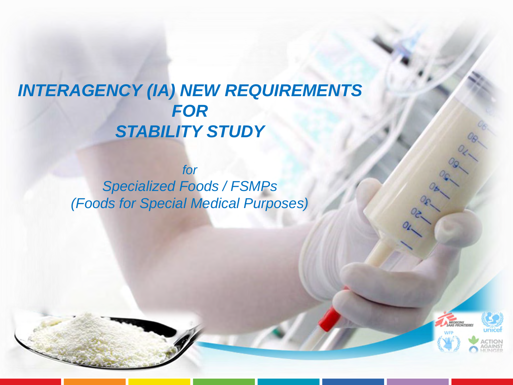## *INTERAGENCY (IA) NEW REQUIREMENTS FOR STABILITY STUDY*

*for Specialized Foods / FSMPs (Foods for Special Medical Purposes)*

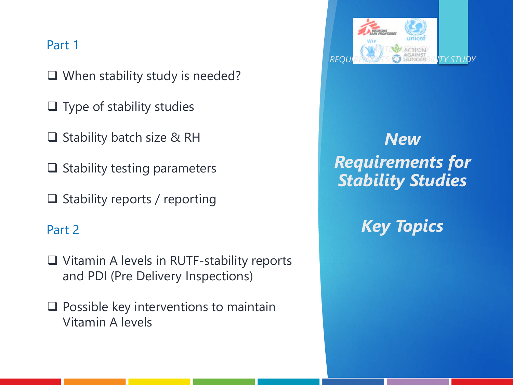#### Part 1

❑ When stability study is needed?

❑ Type of stability studies

❑ Stability batch size & RH

❑ Stability testing parameters

❑ Stability reports / reporting

#### Part 2

❑ Vitamin A levels in RUTF-stability reports and PDI (Pre Delivery Inspections)

❑ Possible key interventions to maintain Vitamin A levels



## *New Requirements for Stability Studies*

*Key Topics*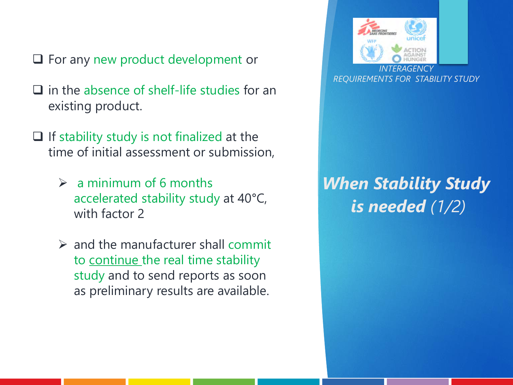- ❑ For any new product development or
- ❑ in the absence of shelf-life studies for an existing product.
- ❑ If stability study is not finalized at the time of initial assessment or submission,
	- $\triangleright$  a minimum of 6 months accelerated stability study at 40°C, with factor 2
	- $\triangleright$  and the manufacturer shall commit to continue the real time stability study and to send reports as soon as preliminary results are available.



## *When Stability Study is needed (1/2)*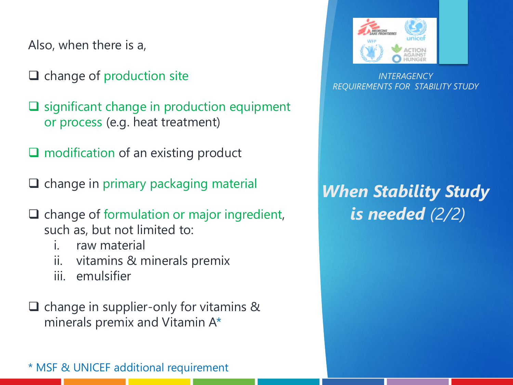Also, when there is a,

❑ change of production site

❑ significant change in production equipment or process (e.g. heat treatment)

❑ modification of an existing product

❑ change in primary packaging material

- ❑ change of formulation or major ingredient, such as, but not limited to:
	- i. raw material
	- ii. vitamins & minerals premix
	- iii. emulsifier

❑ change in supplier-only for vitamins & minerals premix and Vitamin A\*

\* MSF & UNICEF additional requirement



*INTERAGENCY REQUIREMENTS FOR STABILITY STUDY*

## *When Stability Study is needed (2/2)*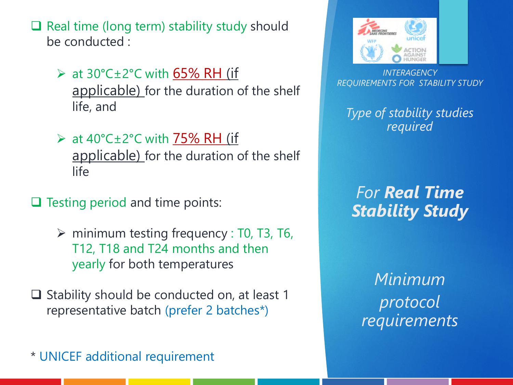❑ Real time (long term) stability study should be conducted :

 $\triangleright$  at 30°C±2°C with 65% RH (if applicable) for the duration of the shelf life, and

 $\triangleright$  at 40°C±2°C with 75% RH (if applicable) for the duration of the shelf life

❑ Testing period and time points:

 $\triangleright$  minimum testing frequency : T0, T3, T6, T12, T18 and T24 months and then yearly for both temperatures

❑ Stability should be conducted on, at least 1 representative batch (prefer 2 batches\*)

\* UNICEF additional requirement



*INTERAGENCY REQUIREMENTS FOR STABILITY STUDY*

*Type of stability studies required*

*For Real Time Stability Study*

*Minimum protocol requirements*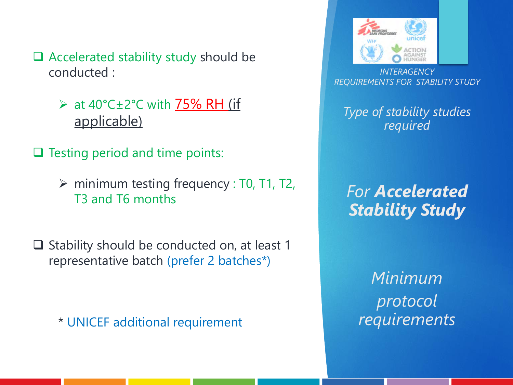- ❑ Accelerated stability study should be conducted :
	- $\triangleright$  at 40°C $\pm$ 2°C with 75% RH (if applicable)
- ❑ Testing period and time points:
	- $\triangleright$  minimum testing frequency : T0, T1, T2, T3 and T6 months
- ❑ Stability should be conducted on, at least 1 representative batch (prefer 2 batches\*)

\* UNICEF additional requirement



*INTERAGENCY REQUIREMENTS FOR STABILITY STUDY*

*Type of stability studies required*

*For Accelerated Stability Study* 

*Minimum protocol requirements*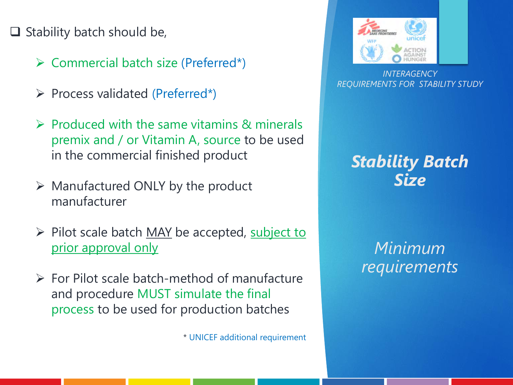#### $\Box$  Stability batch should be,

- ➢ Commercial batch size (Preferred\*)
- ➢ Process validated (Preferred\*)
- $\triangleright$  Produced with the same vitamins & minerals premix and / or Vitamin A, source to be used in the commercial finished product
- $\triangleright$  Manufactured ONLY by the product manufacturer
- ➢ Pilot scale batch MAY be accepted, subject to prior approval only
- $\triangleright$  For Pilot scale batch-method of manufacture and procedure MUST simulate the final process to be used for production batches

\* UNICEF additional requirement



*INTERAGENCY REQUIREMENTS FOR STABILITY STUDY*

#### *Stability Batch Size*

#### *Minimum requirements*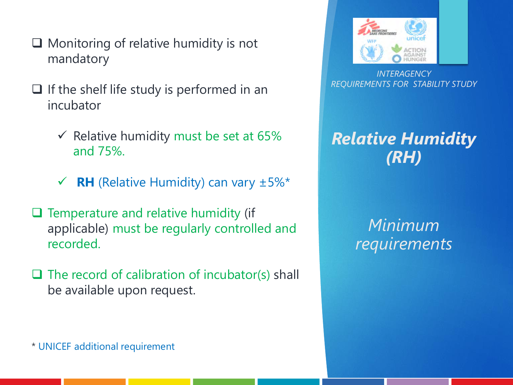- ❑ Monitoring of relative humidity is not mandatory
- $\Box$  If the shelf life study is performed in an incubator
	- $\checkmark$  Relative humidity must be set at 65% and 75%.
	- $\checkmark$  **RH** (Relative Humidity) can vary  $\pm 5\%$ <sup>\*</sup>
- ❑ Temperature and relative humidity (if applicable) must be regularly controlled and recorded.
- $\Box$  The record of calibration of incubator(s) shall be available upon request.



*INTERAGENCY REQUIREMENTS FOR STABILITY STUDY*

#### *Relative Humidity (RH)*

#### *Minimum requirements*

\* UNICEF additional requirement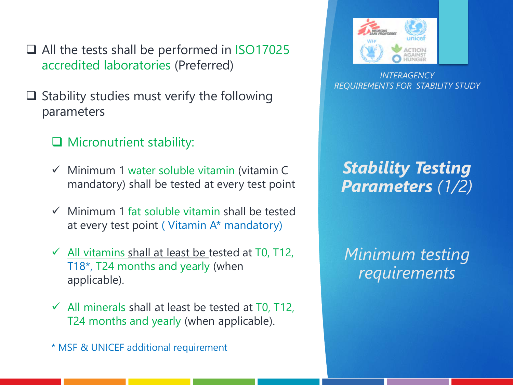❑ All the tests shall be performed in ISO17025 accredited laboratories (Preferred)

- $\Box$  Stability studies must verify the following parameters
	- ❑ Micronutrient stability:
	- $\checkmark$  Minimum 1 water soluble vitamin (vitamin C mandatory) shall be tested at every test point
	- $\checkmark$  Minimum 1 fat soluble vitamin shall be tested at every test point ( Vitamin A\* mandatory)
	- $\overline{\smile}$  All vitamins shall at least be tested at T0, T12, T18\*, T24 months and yearly (when applicable).
	- $\checkmark$  All minerals shall at least be tested at T0, T12, T24 months and yearly (when applicable).

\* MSF & UNICEF additional requirement



*INTERAGENCY REQUIREMENTS FOR STABILITY STUDY*

### *Stability Testing Parameters (1/2)*

*Minimum testing requirements*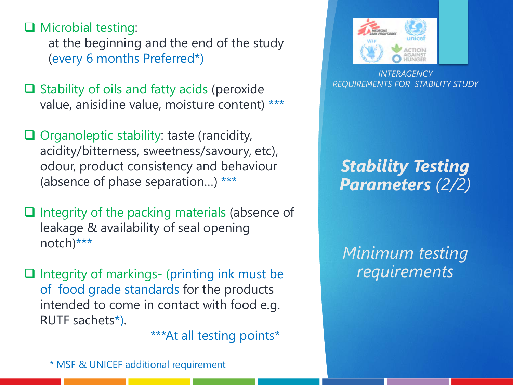❑ Microbial testing: at the beginning and the end of the study (every 6 months Preferred\*)

- ❑ Stability of oils and fatty acids (peroxide value, anisidine value, moisture content) \*\*\*
- ❑ Organoleptic stability: taste (rancidity, acidity/bitterness, sweetness/savoury, etc), odour, product consistency and behaviour (absence of phase separation…) \*\*\*
- ❑ Integrity of the packing materials (absence of leakage & availability of seal opening notch)\*\*\*
- ❑ Integrity of markings- (printing ink must be of food grade standards for the products intended to come in contact with food e.g. RUTF sachets\*).

\*\*\*At all testing points\*

\* MSF & UNICEF additional requirement



*INTERAGENCY REQUIREMENTS FOR STABILITY STUDY*

## *Stability Testing Parameters (2/2)*

*Minimum testing requirements*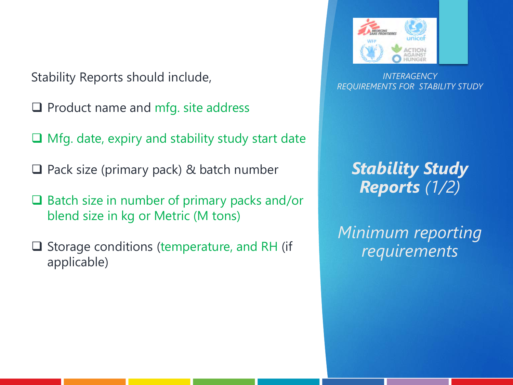Stability Reports should include,

- ❑ Product name and mfg. site address
- ❑ Mfg. date, expiry and stability study start date
- ❑ Pack size (primary pack) & batch number
- ❑ Batch size in number of primary packs and/or blend size in kg or Metric (M tons)
- Storage conditions (temperature, and RH (if applicable)



*INTERAGENCY REQUIREMENTS FOR STABILITY STUDY*

### *Stability Study Reports (1/2)*

*Minimum reporting requirements*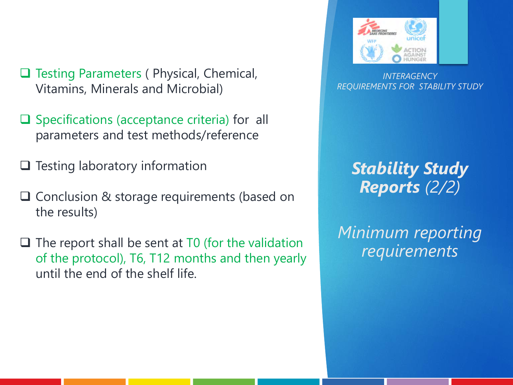- ❑ Testing Parameters ( Physical, Chemical, Vitamins, Minerals and Microbial)
- ❑ Specifications (acceptance criteria) for all parameters and test methods/reference
- ❑ Testing laboratory information
- ❑ Conclusion & storage requirements (based on the results)
- $\Box$  The report shall be sent at T0 (for the validation of the protocol), T6, T12 months and then yearly until the end of the shelf life.



*INTERAGENCY REQUIREMENTS FOR STABILITY STUDY*

### *Stability Study Reports (2/2)*

*Minimum reporting requirements*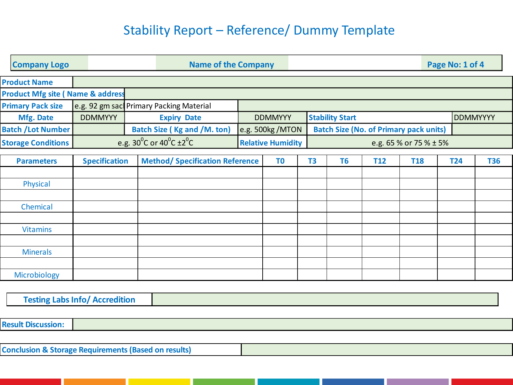#### Stability Report – Reference/ Dummy Template

|                           | <b>Company Logo</b>                          |                                                       |  | <b>Name of the Company</b>             |                          |                |  | Page No: 1 of 4                               |                        |            |                 |            |            |
|---------------------------|----------------------------------------------|-------------------------------------------------------|--|----------------------------------------|--------------------------|----------------|--|-----------------------------------------------|------------------------|------------|-----------------|------------|------------|
|                           | <b>Product Name</b>                          |                                                       |  |                                        |                          |                |  |                                               |                        |            |                 |            |            |
|                           | <b>Product Mfg site ( Name &amp; address</b> |                                                       |  |                                        |                          |                |  |                                               |                        |            |                 |            |            |
| <b>Primary Pack size</b>  |                                              | e.g. 92 gm sac Primary Packing Material               |  |                                        |                          |                |  |                                               |                        |            |                 |            |            |
| Mfg. Date                 |                                              | <b>DDMMYYY</b>                                        |  | <b>Expiry Date</b>                     |                          | <b>DDMMYYY</b> |  |                                               | <b>Stability Start</b> |            | <b>DDMMYYYY</b> |            |            |
| <b>Batch / Lot Number</b> |                                              |                                                       |  | <b>Batch Size (Kg and /M. ton)</b>     | e.g. 500kg /MTON         |                |  | <b>Batch Size (No. of Primary pack units)</b> |                        |            |                 |            |            |
| <b>Storage Conditions</b> |                                              | e.g. $30^{\circ}$ C or $40^{\circ}$ C ±2 $^{\circ}$ C |  |                                        | <b>Relative Humidity</b> |                |  | e.g. 65 % or 75 % ± 5%                        |                        |            |                 |            |            |
|                           |                                              |                                                       |  |                                        |                          |                |  |                                               |                        |            |                 |            |            |
| <b>Parameters</b>         |                                              | <b>Specification</b>                                  |  | <b>Method/ Specification Reference</b> | T <sub>0</sub>           |                |  | T <sub>3</sub>                                | T <sub>6</sub>         | <b>T12</b> | <b>T18</b>      | <b>T24</b> | <b>T36</b> |
|                           |                                              |                                                       |  |                                        |                          |                |  |                                               |                        |            |                 |            |            |
|                           | Physical                                     |                                                       |  |                                        |                          |                |  |                                               |                        |            |                 |            |            |
|                           |                                              |                                                       |  |                                        |                          |                |  |                                               |                        |            |                 |            |            |
|                           | Chemical                                     |                                                       |  |                                        |                          |                |  |                                               |                        |            |                 |            |            |
|                           |                                              |                                                       |  |                                        |                          |                |  |                                               |                        |            |                 |            |            |
|                           | <b>Vitamins</b>                              |                                                       |  |                                        |                          |                |  |                                               |                        |            |                 |            |            |
|                           |                                              |                                                       |  |                                        |                          |                |  |                                               |                        |            |                 |            |            |
|                           | <b>Minerals</b>                              |                                                       |  |                                        |                          |                |  |                                               |                        |            |                 |            |            |
|                           |                                              |                                                       |  |                                        |                          |                |  |                                               |                        |            |                 |            |            |
|                           | Microbiology                                 |                                                       |  |                                        |                          |                |  |                                               |                        |            |                 |            |            |
|                           |                                              |                                                       |  |                                        |                          |                |  |                                               |                        |            |                 |            |            |

**Testing Labs Info/ Accredition**

**Result Discussion:**<br> **Conclusion & Storage Requirements (Based on results)**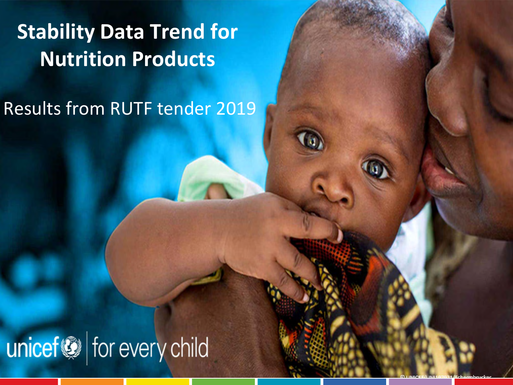## **Stability Data Trend for Nutrition Products**

Results from RUTF tender 2019

# unicef@ for every child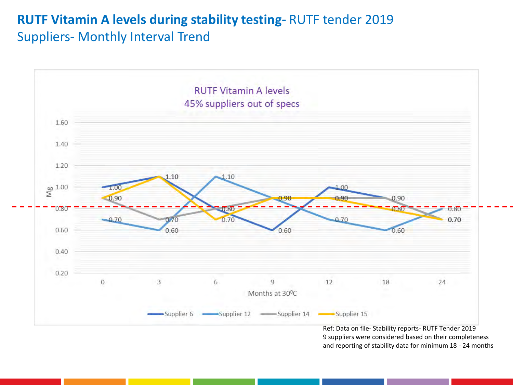#### **RUTF Vitamin A levels during stability testing-** RUTF tender 2019 Suppliers- Monthly Interval Trend



9 suppliers were considered based on their completeness and reporting of stability data for minimum 18 - 24 months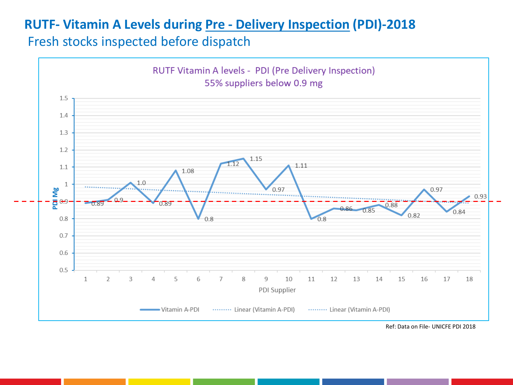#### **RUTF- Vitamin A Levels during Pre - Delivery Inspection (PDI)-2018**

Fresh stocks inspected before dispatch



Ref: Data on File- UNICFE PDI 2018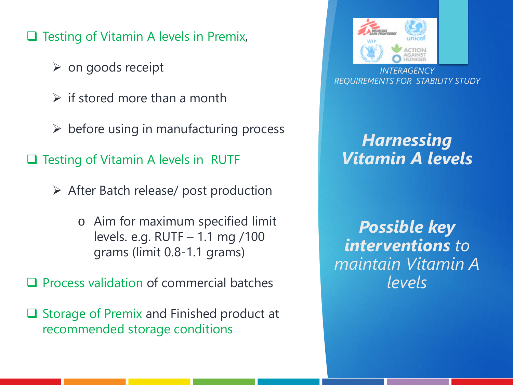❑ Testing of Vitamin A levels in Premix,

- $\triangleright$  on goods receipt
- $\triangleright$  if stored more than a month
- $\triangleright$  before using in manufacturing process

❑ Testing of Vitamin A levels in RUTF

- ➢ After Batch release/ post production
	- o Aim for maximum specified limit levels. e.g. RUTF – 1.1 mg /100 grams (limit 0.8-1.1 grams)

❑ Process validation of commercial batches

❑ Storage of Premix and Finished product at recommended storage conditions



*INTERAGENCY REQUIREMENTS FOR STABILITY STUDY*

#### *Harnessing Vitamin A levels*

*Possible key interventions to maintain Vitamin A levels*